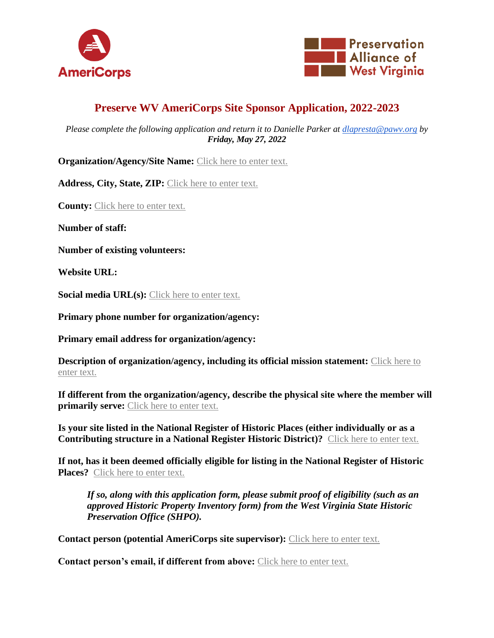



## **Preserve WV AmeriCorps Site Sponsor Application, 2022-2023**

*Please complete the following application and return it to Danielle Parker at [dlapresta@pawv.org](mailto:dlapresta@pawv.org) by Friday, May 27, 2022*

**Organization/Agency/Site Name:** Click here to enter text.

Address, City, State, ZIP: Click here to enter text.

**County:** Click here to enter text.

**Number of staff:** 

**Number of existing volunteers:**

**Website URL:** 

**Social media URL(s):** Click here to enter text.

**Primary phone number for organization/agency:** 

**Primary email address for organization/agency:** 

**Description of organization/agency, including its official mission statement:** Click here to enter text.

**If different from the organization/agency, describe the physical site where the member will primarily serve:** Click here to enter text.

**Is your site listed in the National Register of Historic Places (either individually or as a Contributing structure in a National Register Historic District)?** Click here to enter text.

**If not, has it been deemed officially eligible for listing in the National Register of Historic Places?** Click here to enter text.

*If so, along with this application form, please submit proof of eligibility (such as an approved Historic Property Inventory form) from the West Virginia State Historic Preservation Office (SHPO).*

**Contact person (potential AmeriCorps site supervisor):** Click here to enter text.

**Contact person's email, if different from above:** Click here to enter text.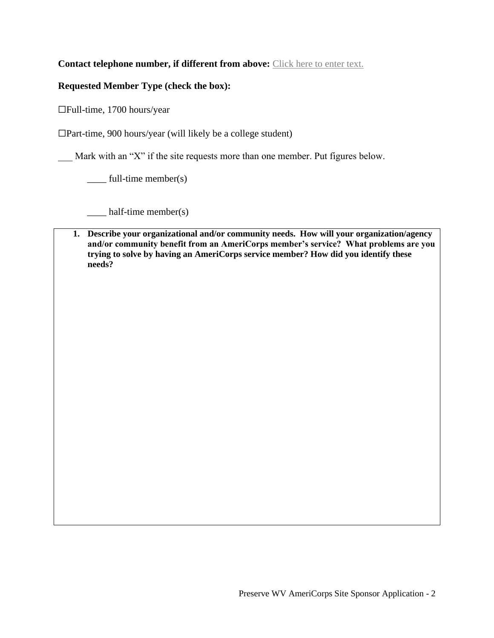**Contact telephone number, if different from above:** Click here to enter text.

**Requested Member Type (check the box):**

☐Full-time, 1700 hours/year

☐Part-time, 900 hours/year (will likely be a college student)

Mark with an "X" if the site requests more than one member. Put figures below.

\_\_\_\_ full-time member(s)

 $\frac{1}{\sqrt{1-\frac{1}{c}}}$  half-time member(s)

**1. Describe your organizational and/or community needs. How will your organization/agency and/or community benefit from an AmeriCorps member's service? What problems are you trying to solve by having an AmeriCorps service member? How did you identify these needs?**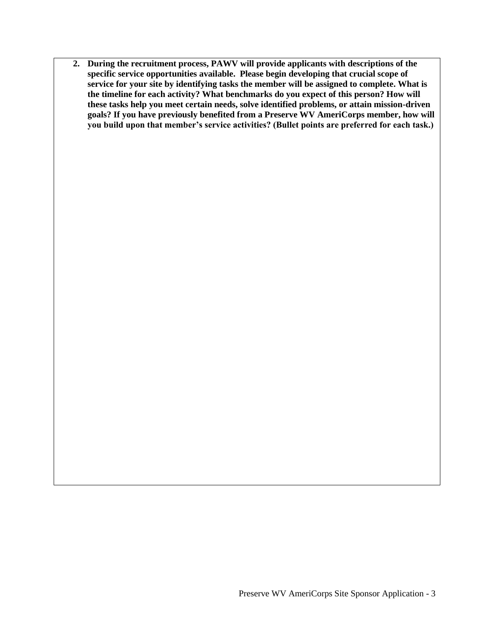**2. During the recruitment process, PAWV will provide applicants with descriptions of the specific service opportunities available. Please begin developing that crucial scope of service for your site by identifying tasks the member will be assigned to complete. What is the timeline for each activity? What benchmarks do you expect of this person? How will these tasks help you meet certain needs, solve identified problems, or attain mission-driven goals? If you have previously benefited from a Preserve WV AmeriCorps member, how will you build upon that member's service activities? (Bullet points are preferred for each task.)**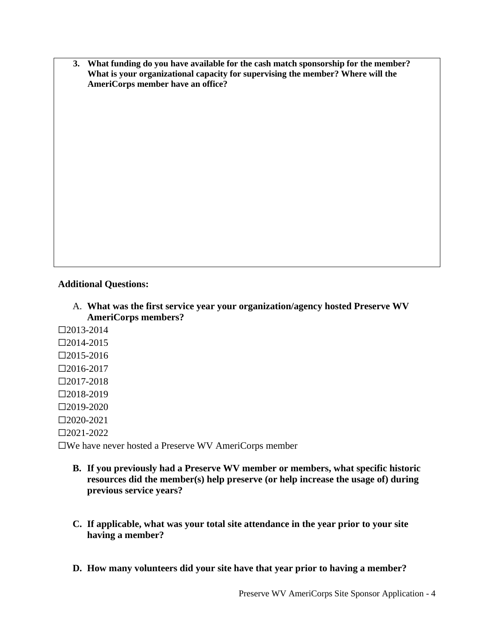**3. What funding do you have available for the cash match sponsorship for the member? What is your organizational capacity for supervising the member? Where will the AmeriCorps member have an office?** 

## **Additional Questions:**

A. **What was the first service year your organization/agency hosted Preserve WV AmeriCorps members?**

 $\square$ 2013-2014  $\square$ 2014-2015  $\square$ 2015-2016  $\square$ 2016-2017 ☐2017-2018 ☐2018-2019 ☐2019-2020 ☐2020-2021 ☐2021-2022 ☐We have never hosted a Preserve WV AmeriCorps member

- **B. If you previously had a Preserve WV member or members, what specific historic resources did the member(s) help preserve (or help increase the usage of) during previous service years?**
- **C. If applicable, what was your total site attendance in the year prior to your site having a member?**
- **D. How many volunteers did your site have that year prior to having a member?**